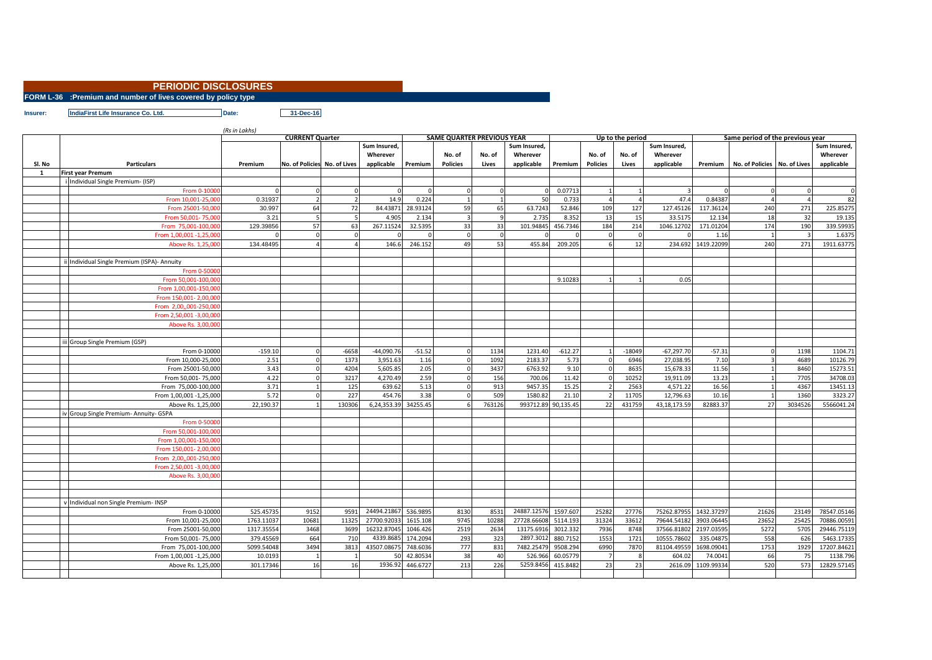## **PERIODIC DISCLOSURES**

**FORM L-36 :Premium and number of lives covered by policy type**

**IndiaFirst Life Insurance Co. Ltd. Date: 31-Dec-16** 

|              |                                           | (Rs in Lakhs) |                              |               |                            |          |                                   |          |                            |           |                 |                  | Same period of the previous year |            |                              |                |              |
|--------------|-------------------------------------------|---------------|------------------------------|---------------|----------------------------|----------|-----------------------------------|----------|----------------------------|-----------|-----------------|------------------|----------------------------------|------------|------------------------------|----------------|--------------|
|              |                                           |               | <b>CURRENT Quarter</b>       |               |                            |          | <b>SAME QUARTER PREVIOUS YEAR</b> |          |                            |           |                 | Up to the period |                                  |            |                              |                |              |
|              |                                           |               |                              |               | Sum Insured,               |          |                                   |          | Sum Insured,               |           |                 |                  | Sum Insured,                     |            |                              |                | Sum Insured. |
|              |                                           |               |                              |               | Wherever                   |          | No. of                            | No. of   | Wherever                   |           | No. of          | No. of           | Wherever                         |            |                              |                | Wherever     |
| Sl. No       | <b>Particulars</b>                        | Premium       | No. of Policies No. of Lives |               | applicable                 | Premium  | <b>Policies</b>                   | Lives    | applicable                 | Premium   | <b>Policies</b> | Lives            | applicable                       | Premium    | No. of Policies No. of Lives |                | applicable   |
| $\mathbf{1}$ | <b>First year Premum</b>                  |               |                              |               |                            |          |                                   |          |                            |           |                 |                  |                                  |            |                              |                |              |
|              | i Individual Single Premium- (ISP)        |               |                              |               |                            |          |                                   |          |                            |           |                 |                  |                                  |            |                              |                |              |
|              | From 0-1000                               |               |                              |               |                            |          |                                   |          |                            | 0.07713   | $\overline{1}$  |                  |                                  |            |                              |                |              |
|              | From 10,001-25,00                         | 0.31937       | $\overline{z}$               |               | 14.9                       | 0.224    |                                   |          | 50                         | 0.733     | $\overline{a}$  |                  | 47.4                             | 0.84387    |                              |                | 82           |
|              | From 25001-50,00                          | 30.997        | 64                           | 72            | 84.43871                   | 28.93124 | 59                                | 65       | 63.7243                    | 52.846    | 109             | 127              | 127.45126                        | 117.36124  | 240                          | 271            | 225.85275    |
|              | From 50,001-75,00                         | 3.21          | 5                            |               | 4.905                      | 2.134    |                                   |          | 2.73                       | 8.352     | 13              | 15               | 33.5175                          | 12.134     | 18                           | 32             | 19.135       |
|              | From 75,001-100,00                        | 129.39856     | 57                           | 63            | 267.11524                  | 32.5395  | 33                                | 33       | 101.94845                  | 456.7346  | 184             | 214              | 1046.12702                       | 171.01204  | 174                          | 190            | 339.59935    |
|              | From 1,00,001 -1,25,00                    |               | $\Omega$                     |               |                            |          | $\Omega$                          | $\Omega$ |                            |           | $\mathbf 0$     | $\mathbf{0}$     |                                  | 1.16       |                              | $\overline{3}$ | 1.6375       |
|              | Above Rs. 1,25,00                         | 134.48495     |                              |               | 146.6                      | 246.152  | 49                                | 53       | 455.84                     | 209.205   | 6               | 12               | 234.692                          | 1419.22099 | 240                          | 271            | 1911.63775   |
|              |                                           |               |                              |               |                            |          |                                   |          |                            |           |                 |                  |                                  |            |                              |                |              |
|              | Individual Single Premium (ISPA)- Annuity |               |                              |               |                            |          |                                   |          |                            |           |                 |                  |                                  |            |                              |                |              |
|              | From 0-5000                               |               |                              |               |                            |          |                                   |          |                            |           |                 |                  |                                  |            |                              |                |              |
|              | From 50.001-100.00                        |               |                              |               |                            |          |                                   |          |                            | 9.10283   |                 |                  | 0.05                             |            |                              |                |              |
|              | From 1.00.001-150.00                      |               |                              |               |                            |          |                                   |          |                            |           |                 |                  |                                  |            |                              |                |              |
|              | From 150,001-2,00,00                      |               |                              |               |                            |          |                                   |          |                            |           |                 |                  |                                  |            |                              |                |              |
|              | From 2.00001-250.000                      |               |                              |               |                            |          |                                   |          |                            |           |                 |                  |                                  |            |                              |                |              |
|              | From 2,50,001-3,00,000                    |               |                              |               |                            |          |                                   |          |                            |           |                 |                  |                                  |            |                              |                |              |
|              | Above Rs. 3,00,00                         |               |                              |               |                            |          |                                   |          |                            |           |                 |                  |                                  |            |                              |                |              |
|              |                                           |               |                              |               |                            |          |                                   |          |                            |           |                 |                  |                                  |            |                              |                |              |
|              | Group Single Premium (GSP)                |               |                              |               |                            |          |                                   |          |                            |           |                 |                  |                                  |            |                              |                |              |
|              | From 0-10000                              | $-159.10$     |                              | $-6658$       | $-44,090.76$               | $-51.52$ |                                   | 1134     | 1231.40                    | $-612.27$ |                 | $-18049$         | $-67,297.70$                     | $-57.31$   |                              | 1198           | 1104.71      |
|              | From 10,000-25,000                        | 2.51          |                              | 1373          | 3,951.63                   | 1.16     |                                   | 1092     | 2183.37                    | 5.73      |                 | 6946             | 27,038.95                        | 7.10       |                              | 4689           | 10126.79     |
|              | From 25001-50,000                         | 3.43          |                              | 4204          | 5,605.85                   | 2.05     |                                   | 3437     | 6763.92                    | 9.10      |                 | 8635             | 15,678.33                        | 11.56      |                              | 8460           | 15273.51     |
|              | From 50,001-75,000                        | 4.22          |                              | 3217          | 4,270.49                   | 2.59     |                                   | 156      | 700.06                     | 11.42     |                 | 10252            | 19,911.09                        | 13.23      |                              | 7705           | 34708.03     |
|              | From 75,000-100,000                       | 3.71          |                              | 125           | 639.62                     | 5.13     |                                   | 913      | 9457.35                    | 15.25     |                 | 2563             | 4,571.22                         | 16.56      |                              | 4367           | 13451.13     |
|              | From 1,00,001 -1,25,000                   | 5.72          |                              | 227           | 454.76                     | 3.38     |                                   | 509      | 1580.82                    | 21.10     | $\overline{z}$  | 11705            | 12,796.63                        | 10.16      |                              | 1360           | 3323.27      |
|              | Above Rs. 1,25,000                        | 22,190.37     |                              | 130306        | 6,24,353.39                | 34255.45 |                                   | 763126   | 993712.89                  | 90,135.45 | 22              | 431759           | 43,18,173.59                     | 82883.37   | 27                           | 3034526        | 5566041.24   |
|              | Group Single Premium- Annuity- GSPA       |               |                              |               |                            |          |                                   |          |                            |           |                 |                  |                                  |            |                              |                |              |
|              | From 0-5000                               |               |                              |               |                            |          |                                   |          |                            |           |                 |                  |                                  |            |                              |                |              |
|              | From 50,001-100,00                        |               |                              |               |                            |          |                                   |          |                            |           |                 |                  |                                  |            |                              |                |              |
|              | From 1,00,001-150,00                      |               |                              |               |                            |          |                                   |          |                            |           |                 |                  |                                  |            |                              |                |              |
|              | From 150,001-2,00,00                      |               |                              |               |                            |          |                                   |          |                            |           |                 |                  |                                  |            |                              |                |              |
|              | From 2,00,,001-250,00                     |               |                              |               |                            |          |                                   |          |                            |           |                 |                  |                                  |            |                              |                |              |
|              | From 2,50,001 -3,00,00                    |               |                              |               |                            |          |                                   |          |                            |           |                 |                  |                                  |            |                              |                |              |
|              | Above Rs. 3,00,00                         |               |                              |               |                            |          |                                   |          |                            |           |                 |                  |                                  |            |                              |                |              |
|              |                                           |               |                              |               |                            |          |                                   |          |                            |           |                 |                  |                                  |            |                              |                |              |
|              |                                           |               |                              |               |                            |          |                                   |          |                            |           |                 |                  |                                  |            |                              |                |              |
|              | Individual non Single Premium- INSP       |               |                              |               |                            |          |                                   |          |                            |           |                 |                  |                                  |            |                              |                |              |
|              |                                           |               |                              |               |                            |          |                                   |          |                            |           |                 |                  |                                  |            |                              |                |              |
|              | From 0-10000                              | 525.45735     | 9152<br>10681                | 9591<br>11325 | 24494.21867<br>27700.92033 | 536.9895 | 8130<br>9745                      | 8531     | 24887.12576<br>27728.66608 | 1597.607  | 25282           | 27776<br>33612   | 75262.87955                      | 1432.37297 | 21626                        | 23149<br>25425 | 78547.05146  |
|              | From 10,001-25,000                        | 1763.11037    |                              |               |                            | 1615.108 |                                   | 10288    |                            | 5114.193  | 31324           |                  | 79644.54182                      | 3903.06445 | 23652                        |                | 70886.00591  |
|              | From 25001-50,000                         | 1317.35554    | 3468                         | 3699          | 16232.87045                | 1046.426 | 2519                              | 2634     | 13175.6916                 | 3012.332  | 7936            | 8748             | 37566.81802                      | 2197.03595 | 5272                         | 5705           | 29446.75119  |
|              | From 50,001-75,000                        | 379.45569     | 664                          | 710           | 4339.8685                  | 174.2094 | 293                               | 323      | 2897.3012                  | 880.7152  | 1553            | 1721             | 10555.78602                      | 335.04875  | 558                          | 626            | 5463.17335   |
|              | From 75,001-100,000                       | 5099.54048    | 3494                         | 3813          | 43507.08675                | 748.6036 | 777                               | 831      | 7482.25479                 | 9508.294  | 6990            | 7870             | 81104.49559                      | 1698.09041 | 1753                         | 1929           | 17207.84621  |
|              | From 1,00,001 -1,25,000                   | 10.0193       |                              |               | 50                         | 42.80534 | 38                                | 40       | 526.966                    | 60.05779  |                 |                  | 604.02                           | 74.0041    | 66                           | 75             | 1138.796     |
|              | Above Rs. 1,25,000                        | 301.17346     | 16                           | 16            | 1936.92                    | 446.6727 | 213                               | 226      | 5259.8456                  | 415.8482  | 23              | 23               | 2616.09                          | 1109.99334 | 520                          | 573            | 12829.57145  |
|              |                                           |               |                              |               |                            |          |                                   |          |                            |           |                 |                  |                                  |            |                              |                |              |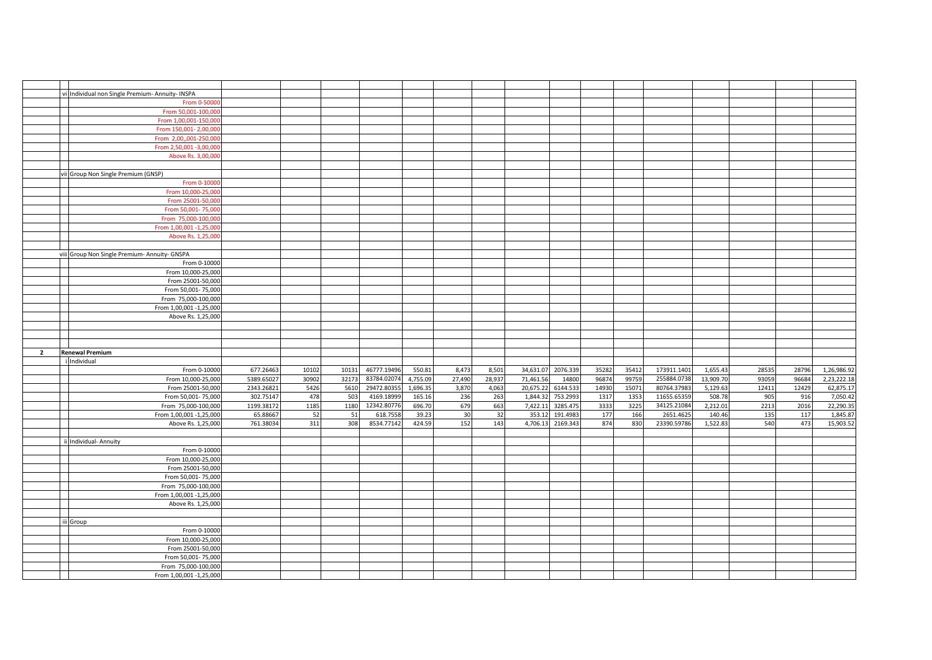|                | Individual non Single Premium- Annuity- INSPA |            |       |       |             |          |        |        |                    |          |       |       |             |           |       |       |             |
|----------------|-----------------------------------------------|------------|-------|-------|-------------|----------|--------|--------|--------------------|----------|-------|-------|-------------|-----------|-------|-------|-------------|
|                | From 0-5000                                   |            |       |       |             |          |        |        |                    |          |       |       |             |           |       |       |             |
|                | From 50,001-100,00                            |            |       |       |             |          |        |        |                    |          |       |       |             |           |       |       |             |
|                | From 1,00,001-150,00                          |            |       |       |             |          |        |        |                    |          |       |       |             |           |       |       |             |
|                |                                               |            |       |       |             |          |        |        |                    |          |       |       |             |           |       |       |             |
|                | From 150,001-2,00,000                         |            |       |       |             |          |        |        |                    |          |       |       |             |           |       |       |             |
|                | From 2,00,,001-250,00                         |            |       |       |             |          |        |        |                    |          |       |       |             |           |       |       |             |
|                | From 2,50,001-3,00,00                         |            |       |       |             |          |        |        |                    |          |       |       |             |           |       |       |             |
|                | Above Rs. 3,00,000                            |            |       |       |             |          |        |        |                    |          |       |       |             |           |       |       |             |
|                |                                               |            |       |       |             |          |        |        |                    |          |       |       |             |           |       |       |             |
|                | Group Non Single Premium (GNSP)               |            |       |       |             |          |        |        |                    |          |       |       |             |           |       |       |             |
|                | From 0-1000                                   |            |       |       |             |          |        |        |                    |          |       |       |             |           |       |       |             |
|                | From 10,000-25,00                             |            |       |       |             |          |        |        |                    |          |       |       |             |           |       |       |             |
|                | From 25001-50,00                              |            |       |       |             |          |        |        |                    |          |       |       |             |           |       |       |             |
|                | From 50,001-75,00                             |            |       |       |             |          |        |        |                    |          |       |       |             |           |       |       |             |
|                | From 75,000-100,00                            |            |       |       |             |          |        |        |                    |          |       |       |             |           |       |       |             |
|                | From 1,00,001 -1,25,00                        |            |       |       |             |          |        |        |                    |          |       |       |             |           |       |       |             |
|                | Above Rs. 1,25,000                            |            |       |       |             |          |        |        |                    |          |       |       |             |           |       |       |             |
|                |                                               |            |       |       |             |          |        |        |                    |          |       |       |             |           |       |       |             |
|                | viii Group Non Single Premium- Annuity- GNSPA |            |       |       |             |          |        |        |                    |          |       |       |             |           |       |       |             |
|                | From 0-10000                                  |            |       |       |             |          |        |        |                    |          |       |       |             |           |       |       |             |
|                | From 10,000-25,000                            |            |       |       |             |          |        |        |                    |          |       |       |             |           |       |       |             |
|                | From 25001-50,000                             |            |       |       |             |          |        |        |                    |          |       |       |             |           |       |       |             |
|                | From 50,001-75,000                            |            |       |       |             |          |        |        |                    |          |       |       |             |           |       |       |             |
|                | From 75,000-100,000                           |            |       |       |             |          |        |        |                    |          |       |       |             |           |       |       |             |
|                | From 1,00,001 -1,25,000                       |            |       |       |             |          |        |        |                    |          |       |       |             |           |       |       |             |
|                | Above Rs. 1,25,000                            |            |       |       |             |          |        |        |                    |          |       |       |             |           |       |       |             |
|                |                                               |            |       |       |             |          |        |        |                    |          |       |       |             |           |       |       |             |
|                |                                               |            |       |       |             |          |        |        |                    |          |       |       |             |           |       |       |             |
|                |                                               |            |       |       |             |          |        |        |                    |          |       |       |             |           |       |       |             |
|                |                                               |            |       |       |             |          |        |        |                    |          |       |       |             |           |       |       |             |
| $\overline{2}$ | <b>Renewal Premium</b>                        |            |       |       |             |          |        |        |                    |          |       |       |             |           |       |       |             |
|                | i Individual                                  |            |       |       |             |          |        |        |                    |          |       |       |             |           |       |       |             |
|                | From 0-10000                                  | 677.26463  | 10102 | 10131 | 46777.19496 | 550.81   | 8,473  | 8,501  | 34,631.07 2076.339 |          | 35282 | 35412 | 173911.1401 | 1,655.43  | 28535 | 28796 | 1,26,986.92 |
|                | From 10,000-25,000                            | 5389.65027 | 30902 | 32173 | 83784.02074 | 4,755.09 | 27,490 | 28,937 | 71,461.56          | 14800    | 96874 | 99759 | 255884.0738 | 13,909.70 | 93059 | 96684 | 2,23,222.18 |
|                | From 25001-50,000                             | 2343.26821 | 5426  | 5610  | 29472.80355 | 1,696.35 | 3,870  | 4,063  | 20,675.22          | 6144.533 | 14930 | 15071 | 80764.37983 | 5,129.63  | 12411 | 12429 | 62,875.17   |
|                | From 50,001-75,000                            | 302.75147  | 478   | 503   | 4169.18999  | 165.16   | 236    | 263    | 1,844.32           | 753.2993 | 1317  | 1353  | 11655.65359 | 508.78    | 905   | 916   | 7,050.42    |
|                | From 75,000-100,000                           | 1199.38172 | 1185  | 1180  | 12342.80776 | 696.70   | 679    | 663    | 7,422.11           | 3285.475 | 3333  | 3225  | 34125.21084 | 2,212.01  | 2213  | 2016  | 22,290.35   |
|                | From 1,00,001 -1,25,000                       | 65.88667   | 52    | 51    | 618.7558    | 39.23    | 30     | 32     | 353.12             | 191.4983 | 177   | 166   | 2651.4625   | 140.46    | 135   | 117   | 1,845.87    |
|                | Above Rs. 1,25,000                            | 761.38034  | 311   | 308   | 8534.77142  | 424.59   | 152    | 143    | 4,706.13           | 2169.343 | 874   | 830   | 23390.59786 | 1,522.83  | 540   | 473   | 15,903.52   |
|                |                                               |            |       |       |             |          |        |        |                    |          |       |       |             |           |       |       |             |
|                | ii Individual- Annuity                        |            |       |       |             |          |        |        |                    |          |       |       |             |           |       |       |             |
|                | From 0-10000                                  |            |       |       |             |          |        |        |                    |          |       |       |             |           |       |       |             |
|                | From 10,000-25,000                            |            |       |       |             |          |        |        |                    |          |       |       |             |           |       |       |             |
|                | From 25001-50,000                             |            |       |       |             |          |        |        |                    |          |       |       |             |           |       |       |             |
|                | From 50,001-75,000                            |            |       |       |             |          |        |        |                    |          |       |       |             |           |       |       |             |
|                | From 75,000-100,000                           |            |       |       |             |          |        |        |                    |          |       |       |             |           |       |       |             |
|                | From 1,00,001 -1,25,000                       |            |       |       |             |          |        |        |                    |          |       |       |             |           |       |       |             |
|                | Above Rs. 1,25,000                            |            |       |       |             |          |        |        |                    |          |       |       |             |           |       |       |             |
|                |                                               |            |       |       |             |          |        |        |                    |          |       |       |             |           |       |       |             |
|                | ii Group                                      |            |       |       |             |          |        |        |                    |          |       |       |             |           |       |       |             |
|                | From 0-10000                                  |            |       |       |             |          |        |        |                    |          |       |       |             |           |       |       |             |
|                | From 10,000-25,000                            |            |       |       |             |          |        |        |                    |          |       |       |             |           |       |       |             |
|                | From 25001-50,000                             |            |       |       |             |          |        |        |                    |          |       |       |             |           |       |       |             |
|                | From 50,001-75,000                            |            |       |       |             |          |        |        |                    |          |       |       |             |           |       |       |             |
|                | From 75,000-100,000                           |            |       |       |             |          |        |        |                    |          |       |       |             |           |       |       |             |
|                | From 1,00,001 -1,25,000                       |            |       |       |             |          |        |        |                    |          |       |       |             |           |       |       |             |
|                |                                               |            |       |       |             |          |        |        |                    |          |       |       |             |           |       |       |             |